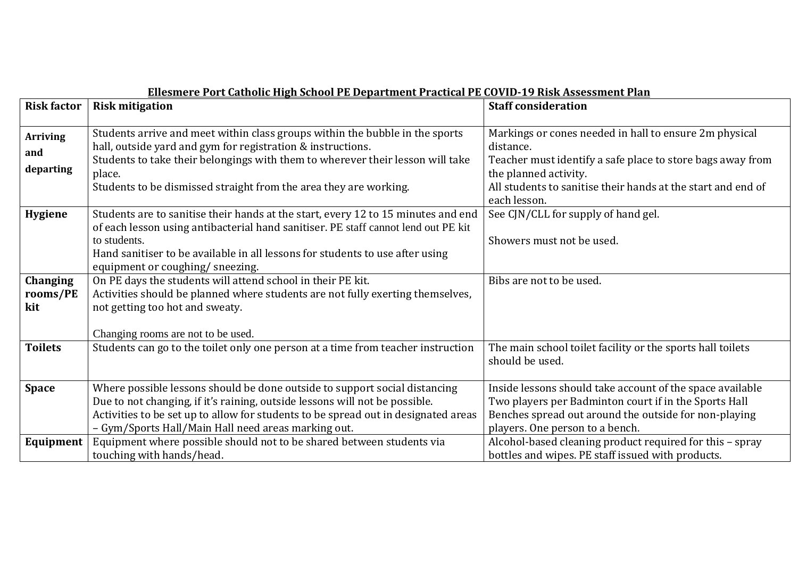| Ellesmere Port Catholic High School PE Department Practical PE COVID-19 Risk Assessment Plan |                                                                                    |                                                                                       |  |  |
|----------------------------------------------------------------------------------------------|------------------------------------------------------------------------------------|---------------------------------------------------------------------------------------|--|--|
| <b>Risk factor</b>                                                                           | <b>Risk mitigation</b>                                                             | <b>Staff consideration</b>                                                            |  |  |
|                                                                                              |                                                                                    |                                                                                       |  |  |
| <b>Arriving</b>                                                                              | Students arrive and meet within class groups within the bubble in the sports       | Markings or cones needed in hall to ensure 2m physical                                |  |  |
| and                                                                                          | hall, outside yard and gym for registration & instructions.                        | distance.                                                                             |  |  |
| departing                                                                                    | Students to take their belongings with them to wherever their lesson will take     | Teacher must identify a safe place to store bags away from                            |  |  |
|                                                                                              | place.<br>Students to be dismissed straight from the area they are working.        | the planned activity.<br>All students to sanitise their hands at the start and end of |  |  |
|                                                                                              |                                                                                    | each lesson.                                                                          |  |  |
| <b>Hygiene</b>                                                                               | Students are to sanitise their hands at the start, every 12 to 15 minutes and end  | See CJN/CLL for supply of hand gel.                                                   |  |  |
|                                                                                              | of each lesson using antibacterial hand sanitiser. PE staff cannot lend out PE kit |                                                                                       |  |  |
|                                                                                              | to students.                                                                       | Showers must not be used.                                                             |  |  |
|                                                                                              | Hand sanitiser to be available in all lessons for students to use after using      |                                                                                       |  |  |
|                                                                                              | equipment or coughing/ sneezing.                                                   |                                                                                       |  |  |
| Changing                                                                                     | On PE days the students will attend school in their PE kit.                        | Bibs are not to be used.                                                              |  |  |
| rooms/PE                                                                                     | Activities should be planned where students are not fully exerting themselves,     |                                                                                       |  |  |
| kit                                                                                          | not getting too hot and sweaty.                                                    |                                                                                       |  |  |
|                                                                                              |                                                                                    |                                                                                       |  |  |
|                                                                                              | Changing rooms are not to be used.                                                 |                                                                                       |  |  |
| <b>Toilets</b>                                                                               | Students can go to the toilet only one person at a time from teacher instruction   | The main school toilet facility or the sports hall toilets                            |  |  |
|                                                                                              |                                                                                    | should be used.                                                                       |  |  |
| <b>Space</b>                                                                                 | Where possible lessons should be done outside to support social distancing         | Inside lessons should take account of the space available                             |  |  |
|                                                                                              | Due to not changing, if it's raining, outside lessons will not be possible.        | Two players per Badminton court if in the Sports Hall                                 |  |  |
|                                                                                              | Activities to be set up to allow for students to be spread out in designated areas | Benches spread out around the outside for non-playing                                 |  |  |
|                                                                                              | - Gym/Sports Hall/Main Hall need areas marking out.                                | players. One person to a bench.                                                       |  |  |
| Equipment                                                                                    | Equipment where possible should not to be shared between students via              | Alcohol-based cleaning product required for this - spray                              |  |  |
|                                                                                              | touching with hands/head.                                                          | bottles and wipes. PE staff issued with products.                                     |  |  |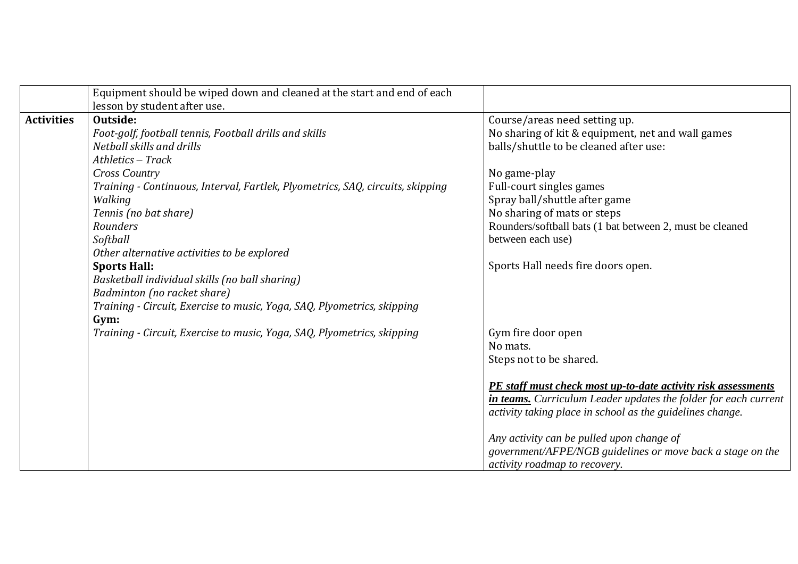|                   | Equipment should be wiped down and cleaned at the start and end of each                                                                                                                                                                                                             |                                                                                                                                                                                                                                                                                                                                                                                                        |
|-------------------|-------------------------------------------------------------------------------------------------------------------------------------------------------------------------------------------------------------------------------------------------------------------------------------|--------------------------------------------------------------------------------------------------------------------------------------------------------------------------------------------------------------------------------------------------------------------------------------------------------------------------------------------------------------------------------------------------------|
|                   | lesson by student after use.                                                                                                                                                                                                                                                        |                                                                                                                                                                                                                                                                                                                                                                                                        |
| <b>Activities</b> | Outside:<br>Foot-golf, football tennis, Football drills and skills<br>Netball skills and drills<br>Athletics - Track<br>Cross Country<br>Training - Continuous, Interval, Fartlek, Plyometrics, SAQ, circuits, skipping<br>Walking<br>Tennis (no bat share)<br>Rounders<br>Softball | Course/areas need setting up.<br>No sharing of kit & equipment, net and wall games<br>balls/shuttle to be cleaned after use:<br>No game-play<br>Full-court singles games<br>Spray ball/shuttle after game<br>No sharing of mats or steps<br>Rounders/softball bats (1 bat between 2, must be cleaned<br>between each use)                                                                              |
|                   | Other alternative activities to be explored<br><b>Sports Hall:</b><br>Basketball individual skills (no ball sharing)<br>Badminton (no racket share)<br>Training - Circuit, Exercise to music, Yoga, SAQ, Plyometrics, skipping<br>Gym:                                              | Sports Hall needs fire doors open.                                                                                                                                                                                                                                                                                                                                                                     |
|                   | Training - Circuit, Exercise to music, Yoga, SAQ, Plyometrics, skipping                                                                                                                                                                                                             | Gym fire door open<br>No mats.<br>Steps not to be shared.<br>PE staff must check most up-to-date activity risk assessments<br>in teams. Curriculum Leader updates the folder for each current<br>activity taking place in school as the guidelines change.<br>Any activity can be pulled upon change of<br>government/AFPE/NGB guidelines or move back a stage on the<br>activity roadmap to recovery. |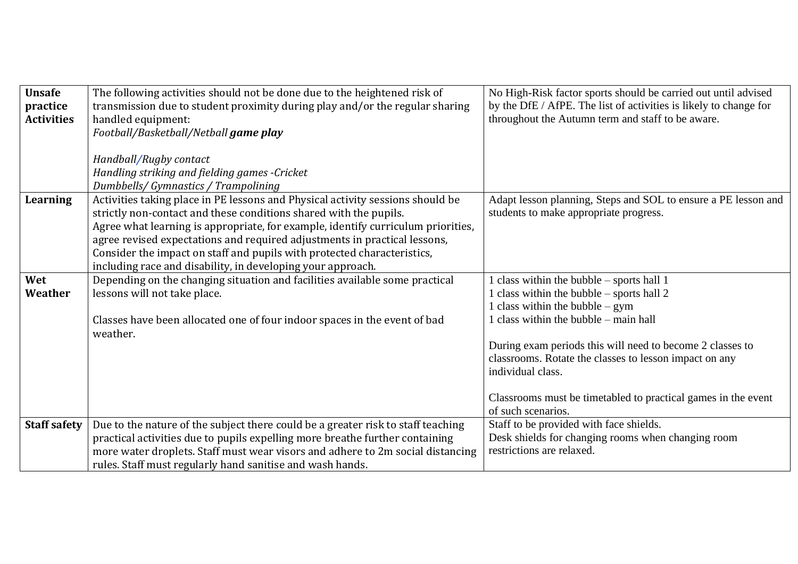| <b>Unsafe</b><br>practice<br><b>Activities</b> | The following activities should not be done due to the heightened risk of<br>transmission due to student proximity during play and/or the regular sharing<br>handled equipment:<br>Football/Basketball/Netball game play                                                                                                                                                                                                                                       | No High-Risk factor sports should be carried out until advised<br>by the DfE / AfPE. The list of activities is likely to change for<br>throughout the Autumn term and staff to be aware. |
|------------------------------------------------|----------------------------------------------------------------------------------------------------------------------------------------------------------------------------------------------------------------------------------------------------------------------------------------------------------------------------------------------------------------------------------------------------------------------------------------------------------------|------------------------------------------------------------------------------------------------------------------------------------------------------------------------------------------|
|                                                | Handball/Rugby contact<br>Handling striking and fielding games - Cricket                                                                                                                                                                                                                                                                                                                                                                                       |                                                                                                                                                                                          |
|                                                | Dumbbells/ Gymnastics / Trampolining                                                                                                                                                                                                                                                                                                                                                                                                                           |                                                                                                                                                                                          |
| Learning                                       | Activities taking place in PE lessons and Physical activity sessions should be<br>strictly non-contact and these conditions shared with the pupils.<br>Agree what learning is appropriate, for example, identify curriculum priorities,<br>agree revised expectations and required adjustments in practical lessons,<br>Consider the impact on staff and pupils with protected characteristics,<br>including race and disability, in developing your approach. | Adapt lesson planning, Steps and SOL to ensure a PE lesson and<br>students to make appropriate progress.                                                                                 |
| Wet                                            | Depending on the changing situation and facilities available some practical                                                                                                                                                                                                                                                                                                                                                                                    | class within the bubble $-$ sports hall 1                                                                                                                                                |
| Weather                                        | lessons will not take place.                                                                                                                                                                                                                                                                                                                                                                                                                                   | 1 class within the bubble – sports hall 2                                                                                                                                                |
|                                                |                                                                                                                                                                                                                                                                                                                                                                                                                                                                | 1 class within the bubble $-$ gym                                                                                                                                                        |
|                                                | Classes have been allocated one of four indoor spaces in the event of bad<br>weather.                                                                                                                                                                                                                                                                                                                                                                          | l class within the bubble – main hall                                                                                                                                                    |
|                                                |                                                                                                                                                                                                                                                                                                                                                                                                                                                                | During exam periods this will need to become 2 classes to<br>classrooms. Rotate the classes to lesson impact on any<br>individual class.                                                 |
|                                                |                                                                                                                                                                                                                                                                                                                                                                                                                                                                | Classrooms must be timetabled to practical games in the event<br>of such scenarios.                                                                                                      |
| <b>Staff safety</b>                            | Due to the nature of the subject there could be a greater risk to staff teaching                                                                                                                                                                                                                                                                                                                                                                               | Staff to be provided with face shields.                                                                                                                                                  |
|                                                | practical activities due to pupils expelling more breathe further containing                                                                                                                                                                                                                                                                                                                                                                                   | Desk shields for changing rooms when changing room                                                                                                                                       |
|                                                | more water droplets. Staff must wear visors and adhere to 2m social distancing                                                                                                                                                                                                                                                                                                                                                                                 | restrictions are relaxed.                                                                                                                                                                |
|                                                | rules. Staff must regularly hand sanitise and wash hands.                                                                                                                                                                                                                                                                                                                                                                                                      |                                                                                                                                                                                          |